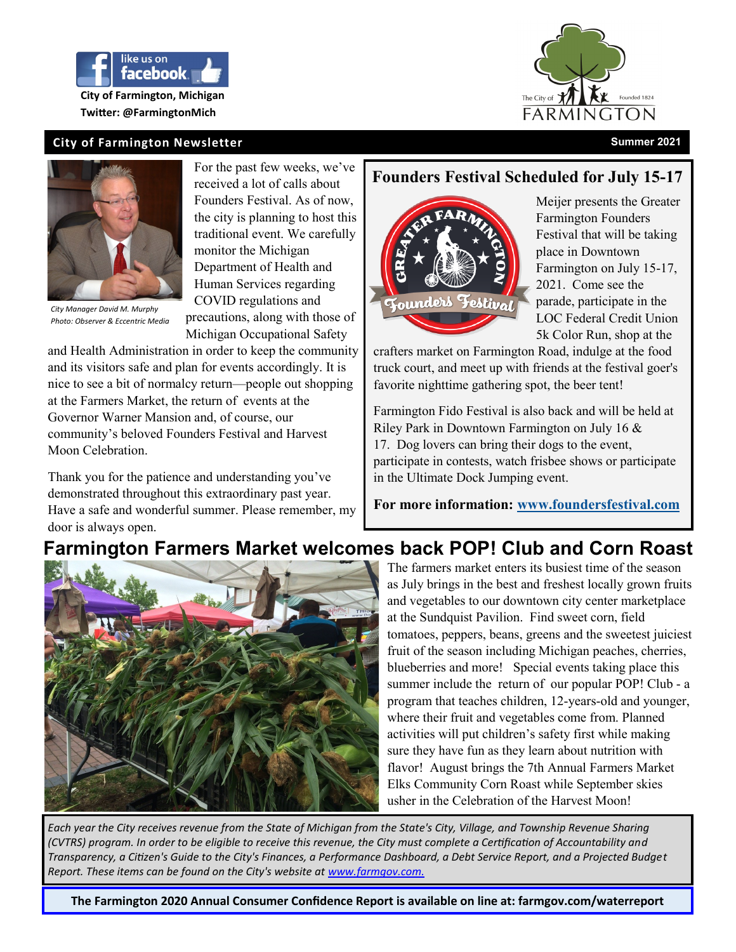

**Twitter: @FarmingtonMich**







*City Manager David M. Murphy Photo: Observer & Eccentric Media* 

For the past few weeks, we've received a lot of calls about Founders Festival. As of now, the city is planning to host this traditional event. We carefully monitor the Michigan Department of Health and Human Services regarding COVID regulations and precautions, along with those of Michigan Occupational Safety

and Health Administration in order to keep the community and its visitors safe and plan for events accordingly. It is nice to see a bit of normalcy return—people out shopping at the Farmers Market, the return of events at the Governor Warner Mansion and, of course, our community's beloved Founders Festival and Harvest Moon Celebration.

Thank you for the patience and understanding you've demonstrated throughout this extraordinary past year. Have a safe and wonderful summer. Please remember, my door is always open.

### **Founders Festival Scheduled for July 15-17**



Meijer presents the Greater Farmington Founders Festival that will be taking place in Downtown Farmington on July 15-17, 2021. Come see the parade, participate in the LOC Federal Credit Union 5k Color Run, shop at the

crafters market on Farmington Road, indulge at the food truck court, and meet up with friends at the festival goer's favorite nighttime gathering spot, the beer tent!

Farmington Fido Festival is also back and will be held at Riley Park in Downtown Farmington on July 16 & 17. Dog lovers can bring their dogs to the event, participate in contests, watch frisbee shows or participate in the Ultimate Dock Jumping event.

**For more information: [www.foundersfestival.com](https://linkprotect.cudasvc.com/url?a=http%3a%2f%2fwww.foundersfestival.com&c=E,1,WeqfobbtYVMpa0OAfK5eqaiSxtndlo_o8RZDoeLA1BZMmHRHfhs1T-mt_Xmfw5UHgMe3bUR3UHZJOK_kO8-m9DbpHRQFfvUwSKOb4AFM0j2s8U0Daw,,&typo=1)**

# **Farmington Farmers Market welcomes back POP! Club and Corn Roast**



The farmers market enters its busiest time of the season as July brings in the best and freshest locally grown fruits and vegetables to our downtown city center marketplace at the Sundquist Pavilion. Find sweet corn, field tomatoes, peppers, beans, greens and the sweetest juiciest fruit of the season including Michigan peaches, cherries, blueberries and more! Special events taking place this summer include the return of our popular POP! Club - a program that teaches children, 12-years-old and younger, where their fruit and vegetables come from. Planned activities will put children's safety first while making sure they have fun as they learn about nutrition with flavor! August brings the 7th Annual Farmers Market Elks Community Corn Roast while September skies usher in the Celebration of the Harvest Moon!

*Each year the City receives revenue from the State of Michigan from the State's City, Village, and Township Revenue Sharing (CVTRS) program. In order to be eligible to receive this revenue, the City must complete a Certification of Accountability and Transparency, a Citizen's Guide to the City's Finances, a Performance Dashboard, a Debt Service Report, and a Projected Budget Report. These items can be found on the City's website at [www.farmgov.com.](http://www.farmgov.com./)*

**The Farmington 2020 Annual Consumer Confidence Report is available on line at: farmgov.com/waterreport**